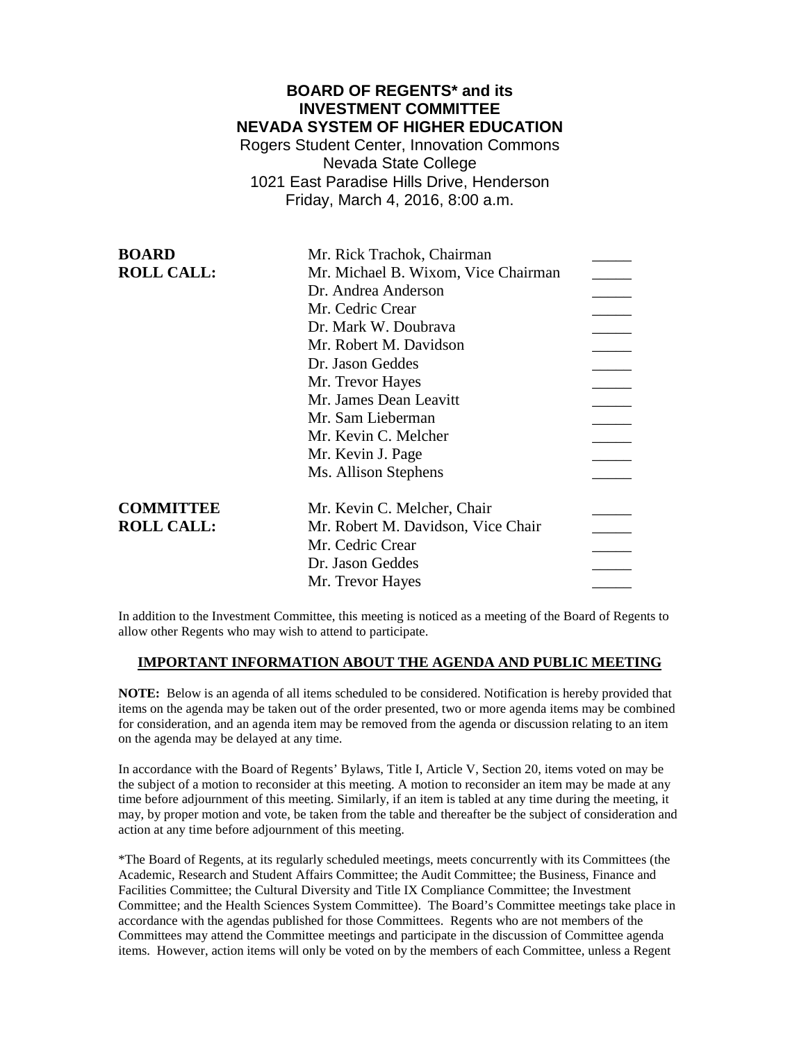# **BOARD OF REGENTS\* and its INVESTMENT COMMITTEE NEVADA SYSTEM OF HIGHER EDUCATION**

Rogers Student Center, Innovation Commons Nevada State College 1021 East Paradise Hills Drive, Henderson Friday, March 4, 2016, 8:00 a.m.

| Mr. Rick Trachok, Chairman          |
|-------------------------------------|
| Mr. Michael B. Wixom, Vice Chairman |
| Dr. Andrea Anderson                 |
| Mr. Cedric Crear                    |
| Dr. Mark W. Doubrava                |
| Mr. Robert M. Davidson              |
| Dr. Jason Geddes                    |
| Mr. Trevor Hayes                    |
| Mr. James Dean Leavitt              |
| Mr. Sam Lieberman                   |
| Mr. Kevin C. Melcher                |
| Mr. Kevin J. Page                   |
| Ms. Allison Stephens                |
| Mr. Kevin C. Melcher, Chair         |
| Mr. Robert M. Davidson, Vice Chair  |
| Mr. Cedric Crear                    |
| Dr. Jason Geddes                    |
| Mr. Trevor Hayes                    |
|                                     |

In addition to the Investment Committee, this meeting is noticed as a meeting of the Board of Regents to allow other Regents who may wish to attend to participate.

### **IMPORTANT INFORMATION ABOUT THE AGENDA AND PUBLIC MEETING**

**NOTE:** Below is an agenda of all items scheduled to be considered. Notification is hereby provided that items on the agenda may be taken out of the order presented, two or more agenda items may be combined for consideration, and an agenda item may be removed from the agenda or discussion relating to an item on the agenda may be delayed at any time.

In accordance with the Board of Regents' Bylaws, Title I, Article V, Section 20, items voted on may be the subject of a motion to reconsider at this meeting. A motion to reconsider an item may be made at any time before adjournment of this meeting. Similarly, if an item is tabled at any time during the meeting, it may, by proper motion and vote, be taken from the table and thereafter be the subject of consideration and action at any time before adjournment of this meeting.

\*The Board of Regents, at its regularly scheduled meetings, meets concurrently with its Committees (the Academic, Research and Student Affairs Committee; the Audit Committee; the Business, Finance and Facilities Committee; the Cultural Diversity and Title IX Compliance Committee; the Investment Committee; and the Health Sciences System Committee). The Board's Committee meetings take place in accordance with the agendas published for those Committees. Regents who are not members of the Committees may attend the Committee meetings and participate in the discussion of Committee agenda items. However, action items will only be voted on by the members of each Committee, unless a Regent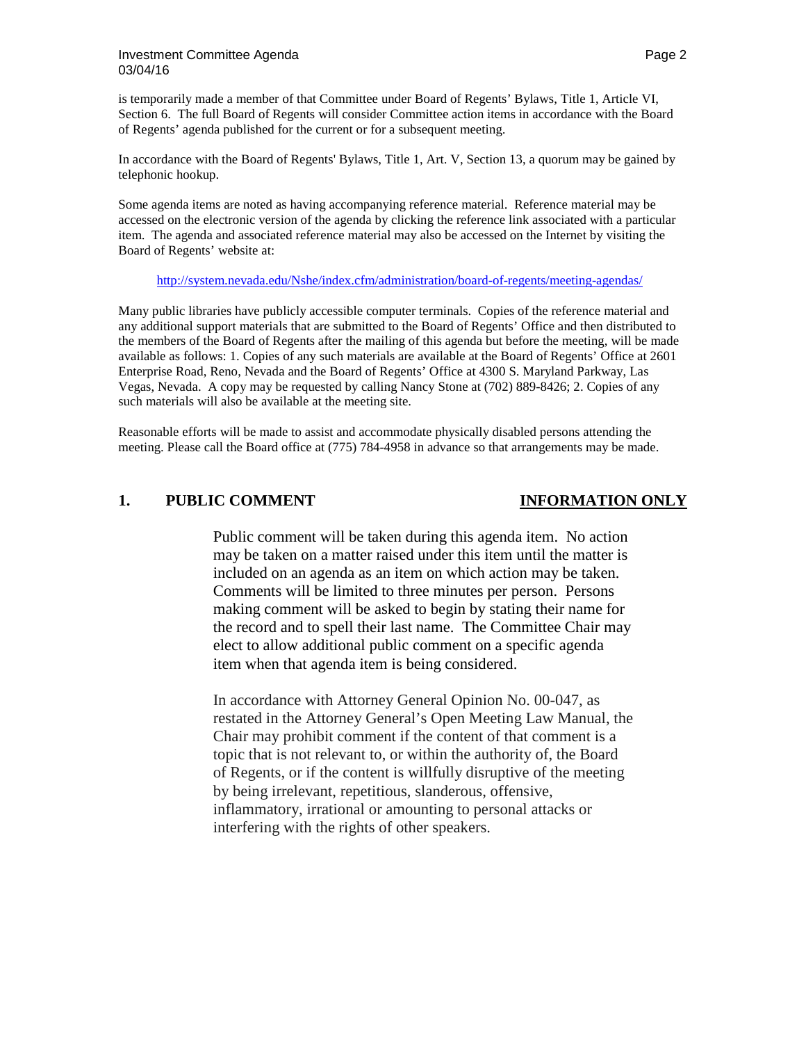### **Investment Committee Agenda Page 2 Page 2 Page 2 Page 2** 03/04/16

is temporarily made a member of that Committee under Board of Regents' Bylaws, Title 1, Article VI, Section 6. The full Board of Regents will consider Committee action items in accordance with the Board of Regents' agenda published for the current or for a subsequent meeting.

In accordance with the Board of Regents' Bylaws, Title 1, Art. V, Section 13, a quorum may be gained by telephonic hookup.

Some agenda items are noted as having accompanying reference material. Reference material may be accessed on the electronic version of the agenda by clicking the reference link associated with a particular item. The agenda and associated reference material may also be accessed on the Internet by visiting the Board of Regents' website at:

### <http://system.nevada.edu/Nshe/index.cfm/administration/board-of-regents/meeting-agendas/>

Many public libraries have publicly accessible computer terminals. Copies of the reference material and any additional support materials that are submitted to the Board of Regents' Office and then distributed to the members of the Board of Regents after the mailing of this agenda but before the meeting, will be made available as follows: 1. Copies of any such materials are available at the Board of Regents' Office at 2601 Enterprise Road, Reno, Nevada and the Board of Regents' Office at 4300 S. Maryland Parkway, Las Vegas, Nevada. A copy may be requested by calling Nancy Stone at (702) 889-8426; 2. Copies of any such materials will also be available at the meeting site.

Reasonable efforts will be made to assist and accommodate physically disabled persons attending the meeting. Please call the Board office at (775) 784-4958 in advance so that arrangements may be made.

# **1. PUBLIC COMMENT INFORMATION ONLY**

Public comment will be taken during this agenda item. No action may be taken on a matter raised under this item until the matter is included on an agenda as an item on which action may be taken. Comments will be limited to three minutes per person. Persons making comment will be asked to begin by stating their name for the record and to spell their last name. The Committee Chair may elect to allow additional public comment on a specific agenda item when that agenda item is being considered.

In accordance with Attorney General Opinion No. 00-047, as restated in the Attorney General's Open Meeting Law Manual, the Chair may prohibit comment if the content of that comment is a topic that is not relevant to, or within the authority of, the Board of Regents, or if the content is willfully disruptive of the meeting by being irrelevant, repetitious, slanderous, offensive, inflammatory, irrational or amounting to personal attacks or interfering with the rights of other speakers.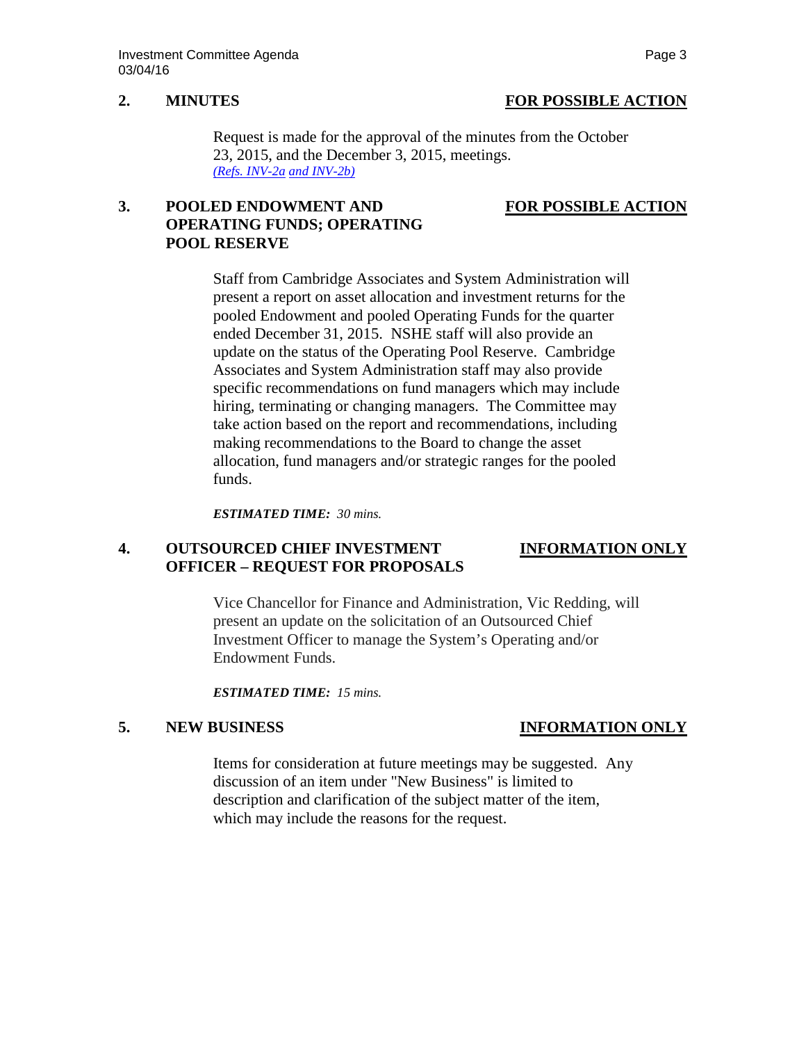## **2. MINUTES FOR POSSIBLE ACTION**

Request is made for the approval of the minutes from the October 23, 2015, and the December 3, 2015, meetings. *[\(Refs. INV-2a](http://system.nevada.edu/tasks/sites/Nshe/assets/File/BoardOfRegents/Agendas/2016/mar-mtgs/inv-refs/IF-2a.pdf) [and INV-2b\)](http://system.nevada.edu/tasks/sites/Nshe/assets/File/BoardOfRegents/Agendas/2016/mar-mtgs/inv-refs/IF-2b.pdf)*

# **3. POOLED ENDOWMENT AND FOR POSSIBLE ACTION OPERATING FUNDS; OPERATING POOL RESERVE**

Staff from Cambridge Associates and System Administration will present a report on asset allocation and investment returns for the pooled Endowment and pooled Operating Funds for the quarter ended December 31, 2015. NSHE staff will also provide an update on the status of the Operating Pool Reserve. Cambridge Associates and System Administration staff may also provide specific recommendations on fund managers which may include hiring, terminating or changing managers. The Committee may take action based on the report and recommendations, including making recommendations to the Board to change the asset allocation, fund managers and/or strategic ranges for the pooled funds.

*ESTIMATED TIME: 30 mins.*

# **4. OUTSOURCED CHIEF INVESTMENT INFORMATION ONLY OFFICER – REQUEST FOR PROPOSALS**

Vice Chancellor for Finance and Administration, Vic Redding, will present an update on the solicitation of an Outsourced Chief Investment Officer to manage the System's Operating and/or Endowment Funds.

*ESTIMATED TIME: 15 mins.*

# **5. NEW BUSINESS INFORMATION ONLY**

Items for consideration at future meetings may be suggested. Any discussion of an item under "New Business" is limited to description and clarification of the subject matter of the item, which may include the reasons for the request.